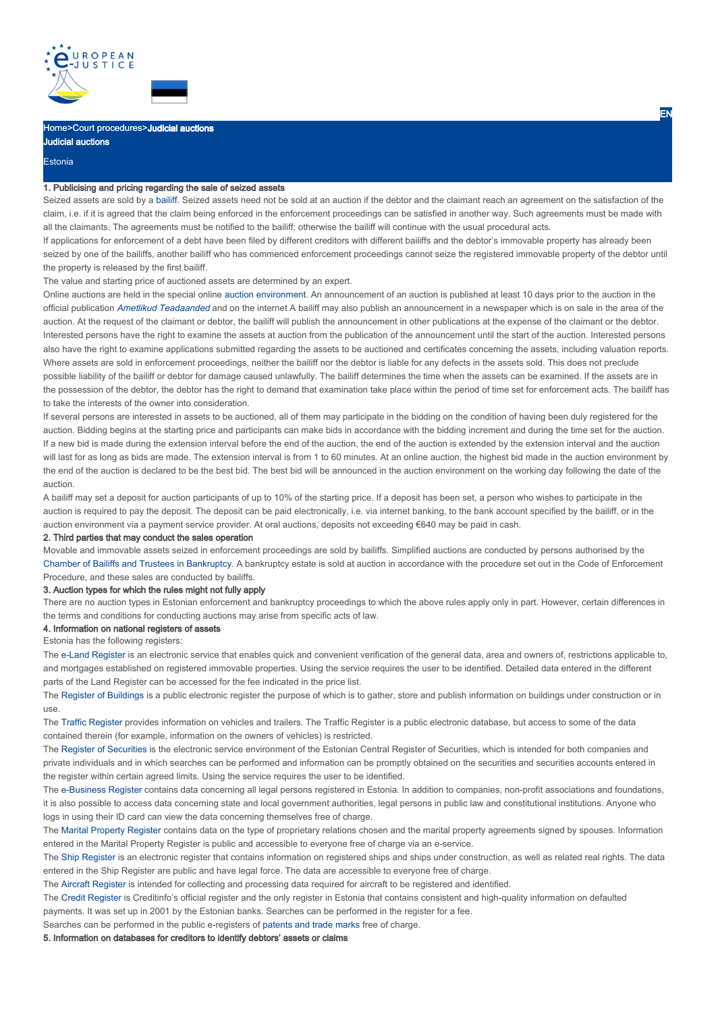

# Home>Court procedures>Judicial auctions

**Estonia** 

Judicial auctions

### 1. Publicising and pricing regarding the sale of seized assets

Seized assets are sold by a bailiff. Seized assets need not be sold at an auction if the debtor and the claimant reach an agreement on the satisfaction of the claim, i.e. if it is agreed that the claim being enforced in the enforcement proceedings can be satisfied in another way. Such agreements must be made with all the claimants. The agreements must be notified to the bailiff; otherwise the bailiff will continue with the usual procedural acts.

If applications for enforcement of a debt have been filed by different creditors with different bailiffs and the debtor's immovable property has already been seized by one of the bailiffs, another bailiff who has commenced enforcement proceedings cannot seize the registered immovable property of the debtor until the property is released by the first bailiff.

The value and starting price of auctioned assets are determined by an expert.

Online auctions are held in the special online auction environment. An announcement of an auction is published at least 10 days prior to the auction in the official publication Ametlikud Teadaanded and on the internet A bailiff may also publish an announcement in a newspaper which is on sale in the area of the auction. At the request of the claimant or debtor, the bailiff will publish the announcement in other publications at the expense of the claimant or the debtor. Interested persons have the right to examine the assets at auction from the publication of the announcement until the start of the auction. Interested persons also have the right to examine applications submitted regarding the assets to be auctioned and certificates concerning the assets, including valuation reports. Where assets are sold in enforcement proceedings, neither the bailiff nor the debtor is liable for any defects in the assets sold. This does not preclude possible liability of the bailiff or debtor for damage caused unlawfully. The bailiff determines the time when the assets can be examined. If the assets are in the possession of the debtor, the debtor has the right to demand that examination take place within the period of time set for enforcement acts. The bailiff has to take the interests of the owner into consideration.

If several persons are interested in assets to be auctioned, all of them may participate in the bidding on the condition of having been duly registered for the auction. Bidding begins at the starting price and participants can make bids in accordance with the bidding increment and during the time set for the auction. If a new bid is made during the extension interval before the end of the auction, the end of the auction is extended by the extension interval and the auction will last for as long as bids are made. The extension interval is from 1 to 60 minutes. At an online auction, the highest bid made in the auction environment by the end of the auction is declared to be the best bid. The best bid will be announced in the auction environment on the working day following the date of the auction.

A bailiff may set a deposit for auction participants of up to 10% of the starting price. If a deposit has been set, a person who wishes to participate in the auction is required to pay the deposit. The deposit can be paid electronically, i.e. via internet banking, to the bank account specified by the bailiff, or in the auction environment via a payment service provider. At oral auctions, deposits not exceeding €640 may be paid in cash.

### 2. Third parties that may conduct the sales operation

Movable and immovable assets seized in enforcement proceedings are sold by bailiffs. Simplified auctions are conducted by persons authorised by the Chamber of Bailiffs and Trustees in Bankruptcy. A bankruptcy estate is sold at auction in accordance with the procedure set out in the Code of Enforcement Procedure, and these sales are conducted by bailiffs.

### 3. Auction types for which the rules might not fully apply

There are no auction types in Estonian enforcement and bankruptcy proceedings to which the above rules apply only in part. However, certain differences in the terms and conditions for conducting auctions may arise from specific acts of law.

## 4. Information on national registers of assets

## Estonia has the following registers:

The e-Land Register is an electronic service that enables quick and convenient verification of the general data, area and owners of, restrictions applicable to, and mortgages established on registered immovable properties. Using the service requires the user to be identified. Detailed data entered in the different parts of the Land Register can be accessed for the fee indicated in the price list.

The Register of Buildings is a public electronic register the purpose of which is to gather, store and publish information on buildings under construction or in use.

The Traffic Register provides information on vehicles and trailers. The Traffic Register is a public electronic database, but access to some of the data contained therein (for example, information on the owners of vehicles) is restricted.

The Register of Securities is the electronic service environment of the Estonian Central Register of Securities, which is intended for both companies and private individuals and in which searches can be performed and information can be promptly obtained on the securities and securities accounts entered in the register within certain agreed limits. Using the service requires the user to be identified.

The e-Business Register contains data concerning all legal persons registered in Estonia. In addition to companies, non-profit associations and foundations, it is also possible to access data concerning state and local government authorities, legal persons in public law and constitutional institutions. Anyone who logs in using their ID card can view the data concerning themselves free of charge.

The Marital Property Register contains data on the type of proprietary relations chosen and the marital property agreements signed by spouses. Information entered in the Marital Property Register is public and accessible to everyone free of charge via an e-service.

The Ship Register is an electronic register that contains information on registered ships and ships under construction, as well as related real rights. The data entered in the Ship Register are public and have legal force. The data are accessible to everyone free of charge.

The Aircraft Register is intended for collecting and processing data required for aircraft to be registered and identified.

The Credit Register is Creditinfo's official register and the only register in Estonia that contains consistent and high-quality information on defaulted payments. It was set up in 2001 by the Estonian banks. Searches can be performed in the register for a fee.

Searches can be performed in the public e-registers of patents and trade marks free of charge.

## 5. Information on databases for creditors to identify debtors' assets or claims